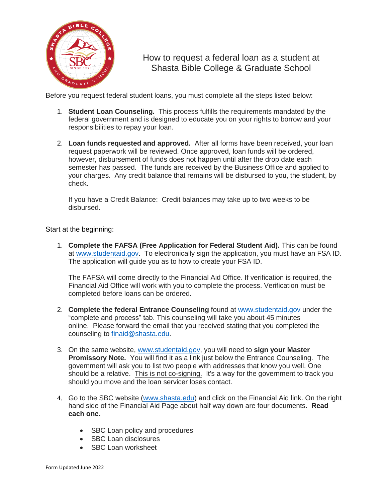

How to request a federal loan as a student at Shasta Bible College & Graduate School

Before you request federal student loans, you must complete all the steps listed below:

- 1. **Student Loan Counseling.** This process fulfills the requirements mandated by the federal government and is designed to educate you on your rights to borrow and your responsibilities to repay your loan.
- 2. **Loan funds requested and approved.** After all forms have been received, your loan request paperwork will be reviewed. Once approved, loan funds will be ordered, however, disbursement of funds does not happen until after the drop date each semester has passed. The funds are received by the Business Office and applied to your charges. Any credit balance that remains will be disbursed to you, the student, by check.

If you have a Credit Balance: Credit balances may take up to two weeks to be disbursed.

Start at the beginning:

1. **Complete the FAFSA (Free Application for Federal Student Aid).** This can be found at [www.studentaid.gov.](http://www.studentaid.gov/) To electronically sign the application, you must have an FSA ID. The application will guide you as to how to create your FSA ID.

The FAFSA will come directly to the Financial Aid Office. If verification is required, the Financial Aid Office will work with you to complete the process. Verification must be completed before loans can be ordered.

- 2. **Complete the federal Entrance Counseling** found at [www.studentaid.gov](http://www.studentaid.gov/) under the "complete and process" tab. This counseling will take you about 45 minutes online. Please forward the email that you received stating that you completed the counseling to [finaid@shasta.edu.](mailto:finaid@shasta.edu)
- 3. On the same website, [www.studentaid.gov,](http://www.studentaid.gov/) you will need to **sign your Master Promissory Note.** You will find it as a link just below the Entrance Counseling. The government will ask you to list two people with addresses that know you well. One should be a relative. This is not co-signing. It's a way for the government to track you should you move and the loan servicer loses contact.
- 4. Go to the SBC website [\(www.shasta.edu\)](http://www.shasta.edu/) and click on the Financial Aid link. On the right hand side of the Financial Aid Page about half way down are four documents. **Read each one.** 
	- SBC Loan policy and procedures
	- SBC Loan disclosures
	- SBC Loan worksheet